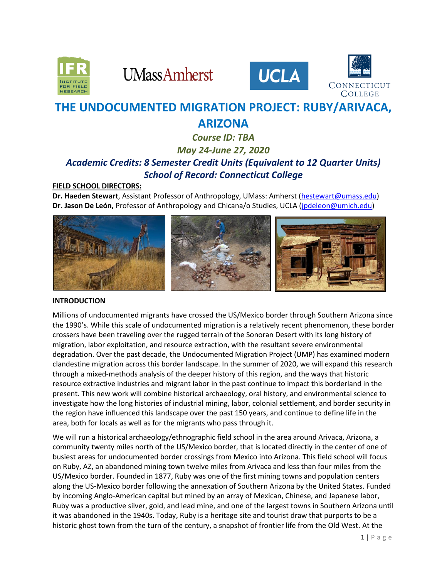

**UMassAmherst** 





# **THE UNDOCUMENTED MIGRATION PROJECT: RUBY/ARIVACA, ARIZONA**

# *Course ID: TBA May 24-June 27, 2020 Academic Credits: 8 Semester Credit Units (Equivalent to 12 Quarter Units) School of Record: Connecticut College*

# **FIELD SCHOOL DIRECTORS:**

**Dr. Haeden Stewart**, Assistant Professor of Anthropology, UMass: Amherst [\(hestewart@umass.edu\)](mailto:hestewart@umass.edu) **Dr. Jason De León,** Professor of Anthropology and Chicana/o Studies, UCLA [\(jpdeleon@umich.edu\)](mailto:jpdeleon@umich.edu)



# **INTRODUCTION**

Millions of undocumented migrants have crossed the US/Mexico border through Southern Arizona since the 1990's. While this scale of undocumented migration is a relatively recent phenomenon, these border crossers have been traveling over the rugged terrain of the Sonoran Desert with its long history of migration, labor exploitation, and resource extraction, with the resultant severe environmental degradation. Over the past decade, the Undocumented Migration Project (UMP) has examined modern clandestine migration across this border landscape. In the summer of 2020, we will expand this research through a mixed-methods analysis of the deeper history of this region, and the ways that historic resource extractive industries and migrant labor in the past continue to impact this borderland in the present. This new work will combine historical archaeology, oral history, and environmental science to investigate how the long histories of industrial mining, labor, colonial settlement, and border security in the region have influenced this landscape over the past 150 years, and continue to define life in the area, both for locals as well as for the migrants who pass through it.

We will run a historical archaeology/ethnographic field school in the area around Arivaca, Arizona, a community twenty miles north of the US/Mexico border, that is located directly in the center of one of busiest areas for undocumented border crossings from Mexico into Arizona. This field school will focus on Ruby, AZ, an abandoned mining town twelve miles from Arivaca and less than four miles from the US/Mexico border. Founded in 1877, Ruby was one of the first mining towns and population centers along the US-Mexico border following the annexation of Southern Arizona by the United States. Funded by incoming Anglo-American capital but mined by an array of Mexican, Chinese, and Japanese labor, Ruby was a productive silver, gold, and lead mine, and one of the largest towns in Southern Arizona until it was abandoned in the 1940s. Today, Ruby is a heritage site and tourist draw that purports to be a historic ghost town from the turn of the century, a snapshot of frontier life from the Old West. At the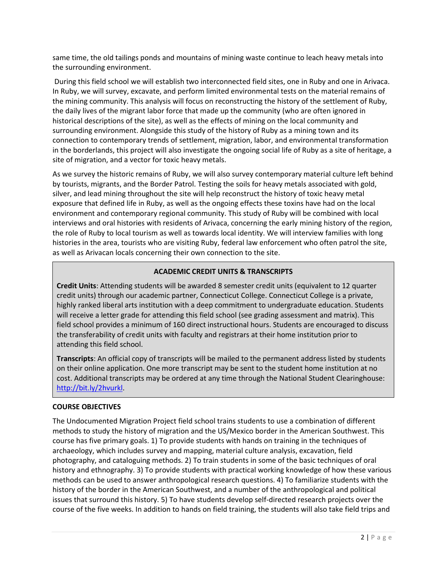same time, the old tailings ponds and mountains of mining waste continue to leach heavy metals into the surrounding environment.

During this field school we will establish two interconnected field sites, one in Ruby and one in Arivaca. In Ruby, we will survey, excavate, and perform limited environmental tests on the material remains of the mining community. This analysis will focus on reconstructing the history of the settlement of Ruby, the daily lives of the migrant labor force that made up the community (who are often ignored in historical descriptions of the site), as well as the effects of mining on the local community and surrounding environment. Alongside this study of the history of Ruby as a mining town and its connection to contemporary trends of settlement, migration, labor, and environmental transformation in the borderlands, this project will also investigate the ongoing social life of Ruby as a site of heritage, a site of migration, and a vector for toxic heavy metals.

As we survey the historic remains of Ruby, we will also survey contemporary material culture left behind by tourists, migrants, and the Border Patrol. Testing the soils for heavy metals associated with gold, silver, and lead mining throughout the site will help reconstruct the history of toxic heavy metal exposure that defined life in Ruby, as well as the ongoing effects these toxins have had on the local environment and contemporary regional community. This study of Ruby will be combined with local interviews and oral histories with residents of Arivaca, concerning the early mining history of the region, the role of Ruby to local tourism as well as towards local identity. We will interview families with long histories in the area, tourists who are visiting Ruby, federal law enforcement who often patrol the site, as well as Arivacan locals concerning their own connection to the site.

# **ACADEMIC CREDIT UNITS & TRANSCRIPTS**

**Credit Units**: Attending students will be awarded 8 semester credit units (equivalent to 12 quarter credit units) through our academic partner, Connecticut College. Connecticut College is a private, highly ranked liberal arts institution with a deep commitment to undergraduate education. Students will receive a letter grade for attending this field school (see grading assessment and matrix). This field school provides a minimum of 160 direct instructional hours. Students are encouraged to discuss the transferability of credit units with faculty and registrars at their home institution prior to attending this field school.

**Transcripts**: An official copy of transcripts will be mailed to the permanent address listed by students on their online application. One more transcript may be sent to the student home institution at no cost. Additional transcripts may be ordered at any time through the National Student Clearinghouse: [http://bit.ly/2hvurkl.](http://bit.ly/2hvurkl)

# **COURSE OBJECTIVES**

The Undocumented Migration Project field school trains students to use a combination of different methods to study the history of migration and the US/Mexico border in the American Southwest. This course has five primary goals. 1) To provide students with hands on training in the techniques of archaeology, which includes survey and mapping, material culture analysis, excavation, field photography, and cataloguing methods. 2) To train students in some of the basic techniques of oral history and ethnography. 3) To provide students with practical working knowledge of how these various methods can be used to answer anthropological research questions. 4) To familiarize students with the history of the border in the American Southwest, and a number of the anthropological and political issues that surround this history. 5) To have students develop self-directed research projects over the course of the five weeks. In addition to hands on field training, the students will also take field trips and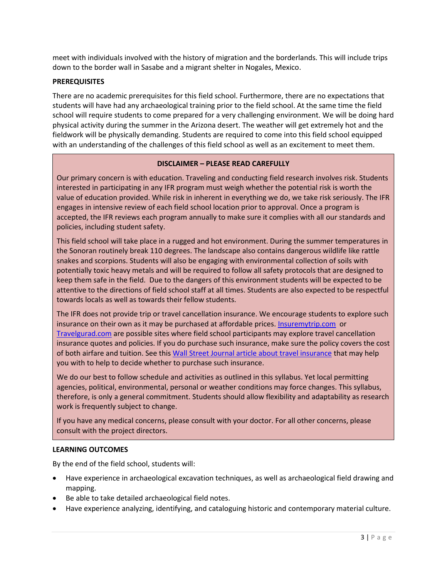meet with individuals involved with the history of migration and the borderlands. This will include trips down to the border wall in Sasabe and a migrant shelter in Nogales, Mexico.

## **PREREQUISITES**

There are no academic prerequisites for this field school. Furthermore, there are no expectations that students will have had any archaeological training prior to the field school. At the same time the field school will require students to come prepared for a very challenging environment. We will be doing hard physical activity during the summer in the Arizona desert. The weather will get extremely hot and the fieldwork will be physically demanding. Students are required to come into this field school equipped with an understanding of the challenges of this field school as well as an excitement to meet them.

## **DISCLAIMER – PLEASE READ CAREFULLY**

Our primary concern is with education. Traveling and conducting field research involves risk. Students interested in participating in any IFR program must weigh whether the potential risk is worth the value of education provided. While risk in inherent in everything we do, we take risk seriously. The IFR engages in intensive review of each field school location prior to approval. Once a program is accepted, the IFR reviews each program annually to make sure it complies with all our standards and policies, including student safety.

This field school will take place in a rugged and hot environment. During the summer temperatures in the Sonoran routinely break 110 degrees. The landscape also contains dangerous wildlife like rattle snakes and scorpions. Students will also be engaging with environmental collection of soils with potentially toxic heavy metals and will be required to follow all safety protocols that are designed to keep them safe in the field. Due to the dangers of this environment students will be expected to be attentive to the directions of field school staff at all times. Students are also expected to be respectful towards locals as well as towards their fellow students.

The IFR does not provide trip or travel cancellation insurance. We encourage students to explore such insurance on their own as it may be purchased at affordable prices[. Insuremytrip.com](http://www.insuremytrip.com/) or [Travelgurad.com](http://www.travelgurad.com/) are possible sites where field school participants may explore travel cancellation insurance quotes and policies. If you do purchase such insurance, make sure the policy covers the cost of both airfare and tuition. See thi[s Wall Street Journal article about travel insurance](https://ifrglobal.org/wp-content/uploads/2019/05/WSJ-04-03-19-Travel-Insurance.pdf) that may help you with to help to decide whether to purchase such insurance.

We do our best to follow schedule and activities as outlined in this syllabus. Yet local permitting agencies, political, environmental, personal or weather conditions may force changes. This syllabus, therefore, is only a general commitment. Students should allow flexibility and adaptability as research work is frequently subject to change.

If you have any medical concerns, please consult with your doctor. For all other concerns, please consult with the project directors.

## **LEARNING OUTCOMES**

By the end of the field school, students will:

- Have experience in archaeological excavation techniques, as well as archaeological field drawing and mapping.
- Be able to take detailed archaeological field notes.
- Have experience analyzing, identifying, and cataloguing historic and contemporary material culture.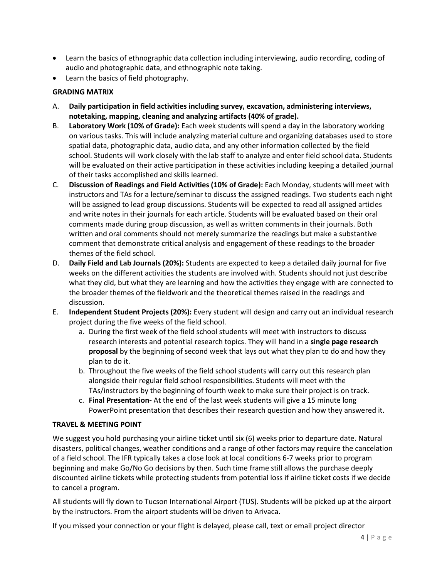- Learn the basics of ethnographic data collection including interviewing, audio recording, coding of audio and photographic data, and ethnographic note taking.
- Learn the basics of field photography.

# **GRADING MATRIX**

- A. **Daily participation in field activities including survey, excavation, administering interviews, notetaking, mapping, cleaning and analyzing artifacts (40% of grade).**
- B. **Laboratory Work (10% of Grade):** Each week students will spend a day in the laboratory working on various tasks. This will include analyzing material culture and organizing databases used to store spatial data, photographic data, audio data, and any other information collected by the field school. Students will work closely with the lab staff to analyze and enter field school data. Students will be evaluated on their active participation in these activities including keeping a detailed journal of their tasks accomplished and skills learned.
- C. **Discussion of Readings and Field Activities (10% of Grade):** Each Monday, students will meet with instructors and TAs for a lecture/seminar to discuss the assigned readings. Two students each night will be assigned to lead group discussions. Students will be expected to read all assigned articles and write notes in their journals for each article. Students will be evaluated based on their oral comments made during group discussion, as well as written comments in their journals. Both written and oral comments should not merely summarize the readings but make a substantive comment that demonstrate critical analysis and engagement of these readings to the broader themes of the field school.
- D. **Daily Field and Lab Journals (20%):** Students are expected to keep a detailed daily journal for five weeks on the different activities the students are involved with. Students should not just describe what they did, but what they are learning and how the activities they engage with are connected to the broader themes of the fieldwork and the theoretical themes raised in the readings and discussion.
- E. **Independent Student Projects (20%):** Every student will design and carry out an individual research project during the five weeks of the field school.
	- a. During the first week of the field school students will meet with instructors to discuss research interests and potential research topics. They will hand in a **single page research proposal** by the beginning of second week that lays out what they plan to do and how they plan to do it.
	- b. Throughout the five weeks of the field school students will carry out this research plan alongside their regular field school responsibilities. Students will meet with the TAs/instructors by the beginning of fourth week to make sure their project is on track.
	- c. **Final Presentation-** At the end of the last week students will give a 15 minute long PowerPoint presentation that describes their research question and how they answered it.

## **TRAVEL & MEETING POINT**

We suggest you hold purchasing your airline ticket until six (6) weeks prior to departure date. Natural disasters, political changes, weather conditions and a range of other factors may require the cancelation of a field school. The IFR typically takes a close look at local conditions 6-7 weeks prior to program beginning and make Go/No Go decisions by then. Such time frame still allows the purchase deeply discounted airline tickets while protecting students from potential loss if airline ticket costs if we decide to cancel a program.

All students will fly down to Tucson International Airport (TUS). Students will be picked up at the airport by the instructors. From the airport students will be driven to Arivaca.

If you missed your connection or your flight is delayed, please call, text or email project director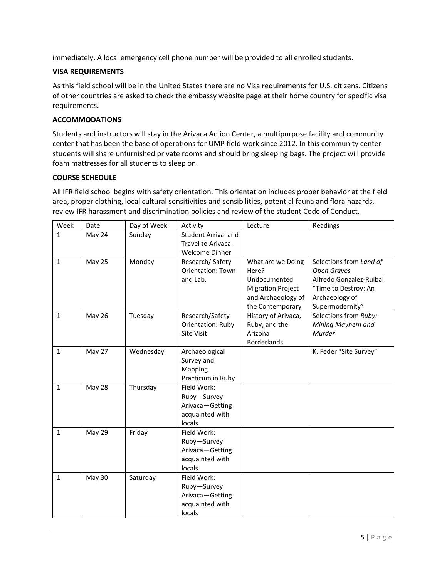immediately. A local emergency cell phone number will be provided to all enrolled students.

# **VISA REQUIREMENTS**

As this field school will be in the United States there are no Visa requirements for U.S. citizens. Citizens of other countries are asked to check the embassy website page at their home country for specific visa requirements.

## **ACCOMMODATIONS**

Students and instructors will stay in the Arivaca Action Center, a multipurpose facility and community center that has been the base of operations for UMP field work since 2012. In this community center students will share unfurnished private rooms and should bring sleeping bags. The project will provide foam mattresses for all students to sleep on.

## **COURSE SCHEDULE**

All IFR field school begins with safety orientation. This orientation includes proper behavior at the field area, proper clothing, local cultural sensitivities and sensibilities, potential fauna and flora hazards, review IFR harassment and discrimination policies and review of the student Code of Conduct.

| Week         | Date          | Day of Week | Activity                  | Lecture                  | Readings                |
|--------------|---------------|-------------|---------------------------|--------------------------|-------------------------|
| $\mathbf{1}$ | May 24        | Sunday      | Student Arrival and       |                          |                         |
|              |               |             | Travel to Arivaca.        |                          |                         |
|              |               |             | <b>Welcome Dinner</b>     |                          |                         |
| $\mathbf{1}$ | May 25        | Monday      | Research/Safety           | What are we Doing        | Selections from Land of |
|              |               |             | <b>Orientation: Town</b>  | Here?                    | <b>Open Graves</b>      |
|              |               |             | and Lab.                  | Undocumented             | Alfredo Gonzalez-Ruibal |
|              |               |             |                           | <b>Migration Project</b> | "Time to Destroy: An    |
|              |               |             |                           | and Archaeology of       | Archaeology of          |
|              |               |             |                           | the Contemporary         | Supermodernity"         |
| $\mathbf{1}$ | <b>May 26</b> | Tuesday     | Research/Safety           | History of Arivaca,      | Selections from Ruby:   |
|              |               |             | Orientation: Ruby         | Ruby, and the            | Mining Mayhem and       |
|              |               |             | <b>Site Visit</b>         | Arizona                  | Murder                  |
|              |               |             |                           | <b>Borderlands</b>       |                         |
| $\mathbf{1}$ | May 27        | Wednesday   | Archaeological            |                          | K. Feder "Site Survey"  |
|              |               |             | Survey and                |                          |                         |
|              |               |             | Mapping                   |                          |                         |
|              |               |             | Practicum in Ruby         |                          |                         |
| $\mathbf{1}$ | May 28        | Thursday    | Field Work:               |                          |                         |
|              |               |             | Ruby-Survey               |                          |                         |
|              |               |             | Arivaca-Getting           |                          |                         |
|              |               |             | acquainted with<br>locals |                          |                         |
|              |               |             | Field Work:               |                          |                         |
| $\mathbf{1}$ | May 29        | Friday      | Ruby-Survey               |                          |                         |
|              |               |             | Arivaca-Getting           |                          |                         |
|              |               |             | acquainted with           |                          |                         |
|              |               |             | locals                    |                          |                         |
| $\mathbf{1}$ | May 30        | Saturday    | Field Work:               |                          |                         |
|              |               |             | Ruby-Survey               |                          |                         |
|              |               |             | Arivaca-Getting           |                          |                         |
|              |               |             | acquainted with           |                          |                         |
|              |               |             | locals                    |                          |                         |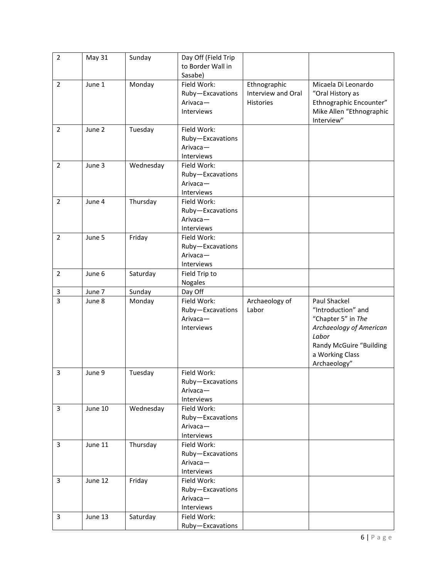| $\overline{2}$ | <b>May 31</b> | Sunday    | Day Off (Field Trip |                    |                          |
|----------------|---------------|-----------|---------------------|--------------------|--------------------------|
|                |               |           | to Border Wall in   |                    |                          |
|                |               |           | Sasabe)             |                    |                          |
| $\overline{2}$ | June 1        | Monday    | Field Work:         | Ethnographic       | Micaela Di Leonardo      |
|                |               |           | Ruby-Excavations    | Interview and Oral | "Oral History as         |
|                |               |           | Arivaca-            | <b>Histories</b>   | Ethnographic Encounter"  |
|                |               |           | Interviews          |                    | Mike Allen "Ethnographic |
|                |               |           |                     |                    | Interview"               |
| $\overline{2}$ | June 2        | Tuesday   | Field Work:         |                    |                          |
|                |               |           | Ruby-Excavations    |                    |                          |
|                |               |           | Arivaca-            |                    |                          |
|                |               |           | Interviews          |                    |                          |
| $\overline{2}$ | June 3        | Wednesday | Field Work:         |                    |                          |
|                |               |           | Ruby-Excavations    |                    |                          |
|                |               |           | Arivaca-            |                    |                          |
|                |               |           | Interviews          |                    |                          |
| $\overline{2}$ | June 4        | Thursday  | Field Work:         |                    |                          |
|                |               |           | Ruby-Excavations    |                    |                          |
|                |               |           | Arivaca-            |                    |                          |
|                |               |           | Interviews          |                    |                          |
| $\overline{2}$ | June 5        | Friday    | Field Work:         |                    |                          |
|                |               |           | Ruby-Excavations    |                    |                          |
|                |               |           | Arivaca-            |                    |                          |
|                |               |           | Interviews          |                    |                          |
| $\overline{2}$ | June 6        | Saturday  | Field Trip to       |                    |                          |
|                |               |           | Nogales             |                    |                          |
| 3              | June 7        | Sunday    | Day Off             |                    |                          |
| $\overline{3}$ | June 8        | Monday    | Field Work:         | Archaeology of     | Paul Shackel             |
|                |               |           | Ruby-Excavations    | Labor              | "Introduction" and       |
|                |               |           | Arivaca-            |                    | "Chapter 5" in The       |
|                |               |           | Interviews          |                    | Archaeology of American  |
|                |               |           |                     |                    | Labor                    |
|                |               |           |                     |                    | Randy McGuire "Building  |
|                |               |           |                     |                    | a Working Class          |
|                |               |           |                     |                    | Archaeology"             |
| 3              | June 9        | Tuesday   | Field Work:         |                    |                          |
|                |               |           | Ruby-Excavations    |                    |                          |
|                |               |           | Arivaca-            |                    |                          |
|                |               |           | Interviews          |                    |                          |
| 3              | June 10       | Wednesday | Field Work:         |                    |                          |
|                |               |           | Ruby-Excavations    |                    |                          |
|                |               |           | Arivaca-            |                    |                          |
|                |               |           | Interviews          |                    |                          |
| 3              | June 11       | Thursday  | Field Work:         |                    |                          |
|                |               |           | Ruby-Excavations    |                    |                          |
|                |               |           | Arivaca-            |                    |                          |
|                |               |           | Interviews          |                    |                          |
| 3              | June 12       | Friday    | Field Work:         |                    |                          |
|                |               |           | Ruby-Excavations    |                    |                          |
|                |               |           | Arivaca-            |                    |                          |
|                |               |           | Interviews          |                    |                          |
| $\mathbf{3}$   | June 13       | Saturday  | Field Work:         |                    |                          |
|                |               |           | Ruby-Excavations    |                    |                          |
|                |               |           |                     |                    |                          |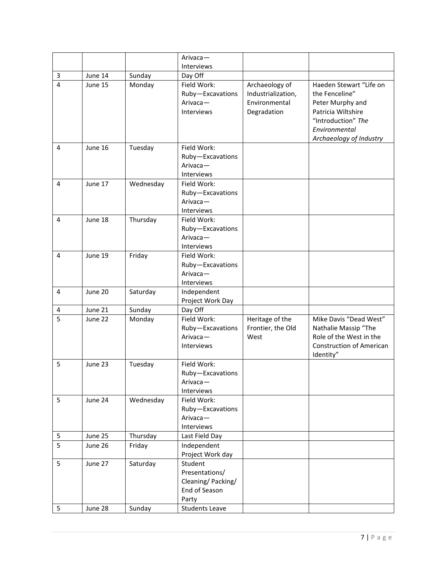|                         |         |           | Arivaca-              |                    |                                 |
|-------------------------|---------|-----------|-----------------------|--------------------|---------------------------------|
|                         |         |           | Interviews            |                    |                                 |
| 3                       | June 14 | Sunday    | Day Off               |                    |                                 |
| $\overline{\mathbf{4}}$ | June 15 | Monday    | Field Work:           | Archaeology of     | Haeden Stewart "Life on         |
|                         |         |           | Ruby-Excavations      | Industrialization, | the Fenceline"                  |
|                         |         |           | $Airvaca -$           | Environmental      | Peter Murphy and                |
|                         |         |           | Interviews            | Degradation        | Patricia Wiltshire              |
|                         |         |           |                       |                    | "Introduction" The              |
|                         |         |           |                       |                    | Environmental                   |
|                         |         |           |                       |                    | Archaeology of Industry         |
| $\overline{4}$          | June 16 | Tuesday   | Field Work:           |                    |                                 |
|                         |         |           | Ruby-Excavations      |                    |                                 |
|                         |         |           | Arivaca-              |                    |                                 |
|                         |         |           | Interviews            |                    |                                 |
| 4                       | June 17 | Wednesday | Field Work:           |                    |                                 |
|                         |         |           | Ruby-Excavations      |                    |                                 |
|                         |         |           | Arivaca-              |                    |                                 |
|                         |         |           | Interviews            |                    |                                 |
| 4                       | June 18 | Thursday  | Field Work:           |                    |                                 |
|                         |         |           | Ruby-Excavations      |                    |                                 |
|                         |         |           | Arivaca-              |                    |                                 |
|                         |         |           | Interviews            |                    |                                 |
| 4                       | June 19 | Friday    | Field Work:           |                    |                                 |
|                         |         |           | Ruby-Excavations      |                    |                                 |
|                         |         |           | Arivaca-              |                    |                                 |
|                         |         |           | Interviews            |                    |                                 |
| $\overline{4}$          | June 20 | Saturday  | Independent           |                    |                                 |
|                         |         |           | Project Work Day      |                    |                                 |
| 4                       | June 21 | Sunday    | Day Off               |                    |                                 |
| 5                       | June 22 | Monday    | Field Work:           | Heritage of the    | Mike Davis "Dead West"          |
|                         |         |           | Ruby-Excavations      | Frontier, the Old  | Nathalie Massip "The            |
|                         |         |           | Arivaca-              | West               | Role of the West in the         |
|                         |         |           | <b>Interviews</b>     |                    | <b>Construction of American</b> |
|                         |         |           |                       |                    | Identity"                       |
| 5                       | June 23 | Tuesday   | Field Work:           |                    |                                 |
|                         |         |           | Ruby-Excavations      |                    |                                 |
|                         |         |           | Arivaca-              |                    |                                 |
|                         |         |           | Interviews            |                    |                                 |
| 5                       | June 24 | Wednesday | Field Work:           |                    |                                 |
|                         |         |           | Ruby-Excavations      |                    |                                 |
|                         |         |           | Arivaca-              |                    |                                 |
|                         |         |           | Interviews            |                    |                                 |
| 5                       | June 25 | Thursday  | Last Field Day        |                    |                                 |
| 5                       | June 26 | Friday    | Independent           |                    |                                 |
|                         |         |           | Project Work day      |                    |                                 |
| 5                       | June 27 | Saturday  | Student               |                    |                                 |
|                         |         |           | Presentations/        |                    |                                 |
|                         |         |           | Cleaning/Packing/     |                    |                                 |
|                         |         |           | End of Season         |                    |                                 |
|                         |         |           | Party                 |                    |                                 |
| 5                       | June 28 | Sunday    | <b>Students Leave</b> |                    |                                 |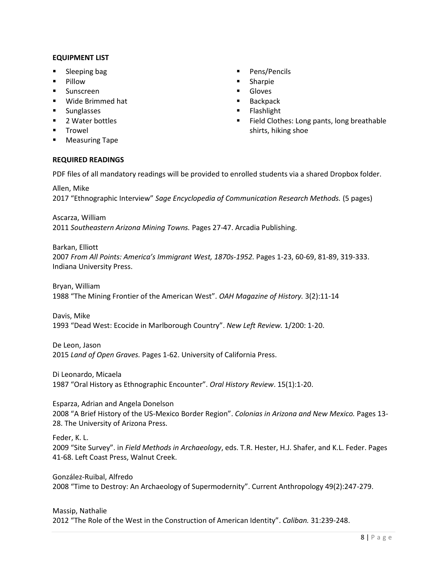#### **EQUIPMENT LIST**

- Sleeping bag
- Pillow
- Sunscreen
- Wide Brimmed hat
- Sunglasses
- 2 Water bottles
- Trowel
- Measuring Tape

# **REQUIRED READINGS**

■ Pens/Pencils

- Sharpie
- Gloves
- Backpack
- Flashlight
- Field Clothes: Long pants, long breathable shirts, hiking shoe

PDF files of all mandatory readings will be provided to enrolled students via a shared Dropbox folder.

Allen, Mike 2017 "Ethnographic Interview" *Sage Encyclopedia of Communication Research Methods.* (5 pages)

Ascarza, William 2011 *Southeastern Arizona Mining Towns.* Pages 27-47. Arcadia Publishing.

Barkan, Elliott 2007 *From All Points: America's Immigrant West, 1870s-1952.* Pages 1-23, 60-69, 81-89, 319-333. Indiana University Press.

Bryan, William 1988 "The Mining Frontier of the American West". *OAH Magazine of History.* 3(2):11-14

Davis, Mike 1993 "Dead West: Ecocide in Marlborough Country". *New Left Review.* 1/200: 1-20.

De Leon, Jason 2015 *Land of Open Graves.* Pages 1-62. University of California Press.

Di Leonardo, Micaela 1987 "Oral History as Ethnographic Encounter". *Oral History Review*. 15(1):1-20.

Esparza, Adrian and Angela Donelson 2008 "A Brief History of the US-Mexico Border Region". *Colonias in Arizona and New Mexico.* Pages 13- 28. The University of Arizona Press.

Feder, K. L.

2009 "Site Survey". in *Field Methods in Archaeology*, eds. T.R. Hester, H.J. Shafer, and K.L. Feder. Pages 41‐68. Left Coast Press, Walnut Creek.

González-Ruibal, Alfredo 2008 "Time to Destroy: An Archaeology of Supermodernity". Current Anthropology 49(2):247-279.

#### Massip, Nathalie

2012 "The Role of the West in the Construction of American Identity". *Caliban.* 31:239-248.